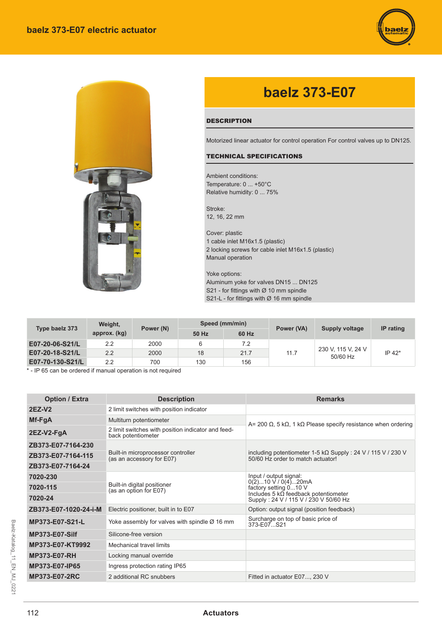



# **baelz 373-E07**

### **DESCRIPTION**

Motorized linear actuator for control operation For control valves up to DN125.

#### TECHNICAL SPECIFICATIONS

Ambient conditions: Temperature: 0 ... +50°С Relative humidity: 0 ... 75%

Stroke: 12, 16, 22 mm

Cover: plastic 1 cable inlet M16x1.5 (plastic) 2 locking screws for cable inlet M16x1.5 (plastic) Manual operation

Yoke options: Aluminum yoke for valves DN15 ... DN125 S21 - for fittings with  $\varnothing$  10 mm spindle S21-L - for fittings with Ø 16 mm spindle

| Type baelz 373   | Weight,<br>approx. (kg) | Power (N) | Speed (mm/min) |       | Power (VA) | <b>Supply voltage</b>          | IP rating |
|------------------|-------------------------|-----------|----------------|-------|------------|--------------------------------|-----------|
|                  |                         |           | 50 Hz          | 60 Hz |            |                                |           |
| E07-20-06-S21/L  | 2.2                     | 2000      |                | 7.2   | 11.7       | 230 V, 115 V, 24 V<br>50/60 Hz | IP 42*    |
| E07-20-18-S21/L  | 2.2                     | 2000      | 18             | 21.7  |            |                                |           |
| E07-70-130-S21/L | 2.2                     | 700       | 130            | 156   |            |                                |           |

\* - IP 65 can be ordered if manual operation is not required

| <b>Option / Extra</b> | <b>Description</b>                                                       | <b>Remarks</b>                                                                                                |  |  |
|-----------------------|--------------------------------------------------------------------------|---------------------------------------------------------------------------------------------------------------|--|--|
| <b>2EZ-V2</b>         | 2 limit switches with position indicator                                 |                                                                                                               |  |  |
| Mf-FgA                | Multiturn potentiometer                                                  | A= 200 $\Omega$ , 5 k $\Omega$ , 1 k $\Omega$ Please specify resistance when ordering                         |  |  |
| $2EZ-V2-FgA$          | 2 limit switches with position indicator and feed-<br>back potentiometer |                                                                                                               |  |  |
| ZB373-E07-7164-230    |                                                                          | including potentiometer 1-5 k $\Omega$ Supply : 24 V / 115 V / 230 V<br>50/60 Hz order to match actuator!     |  |  |
| ZB373-E07-7164-115    | Built-in microprocessor controller<br>(as an accessory for E07)          |                                                                                                               |  |  |
| ZB373-E07-7164-24     |                                                                          |                                                                                                               |  |  |
| 7020-230              |                                                                          | Input / output signal:<br>$0(2)10 \text{ V} / 0(4)  20 \text{ mA}$                                            |  |  |
| 7020-115              | Built-in digital positioner<br>(as an option for E07)                    | factory setting 010 V<br>Includes 5 $k\Omega$ feedback potentiometer<br>Supply: 24 V / 115 V / 230 V 50/60 Hz |  |  |
| 7020-24               |                                                                          |                                                                                                               |  |  |
| ZB373-E07-1020-24-i-M | Electric positioner, built in to E07                                     | Option: output signal (position feedback)                                                                     |  |  |
| MP373-E07-S21-L       | Yoke assembly for valves with spindle $\varnothing$ 16 mm                | Surcharge on top of basic price of<br>373-F07 S21                                                             |  |  |
| <b>MP373-E07-Silf</b> | Silicone-free version                                                    |                                                                                                               |  |  |
| MP373-E07-KT9992      | Mechanical travel limits                                                 |                                                                                                               |  |  |
| <b>MP373-E07-RH</b>   | Locking manual override                                                  |                                                                                                               |  |  |
| MP373-E07-IP65        | Ingress protection rating IP65                                           |                                                                                                               |  |  |
| <b>MP373-E07-2RC</b>  | 2 additional RC snubbers                                                 | Fitted in actuator E07, 230 V                                                                                 |  |  |

## 112 **Actuators**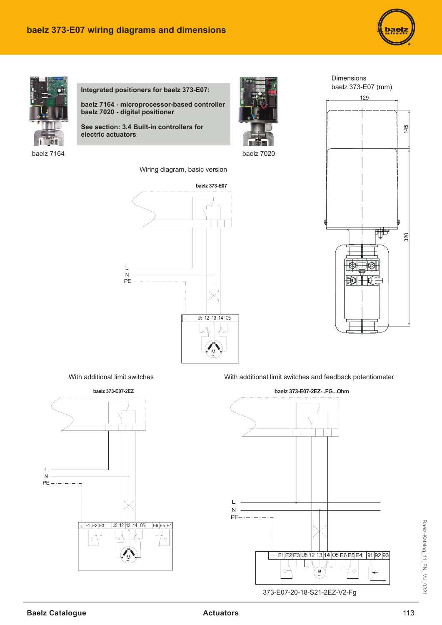



**Integrated positioners for baelz 373-E07:**

**baelz 7164 - microprocessor-based controller baelz 7020 - digital positioner** 

**See section: 3.4 Built-in controllers for electric actuators**

Wiring diagram, basic version





baelz 7164 baelz 7020





With additional limit switches With additional limit switches and feedback potentiometer